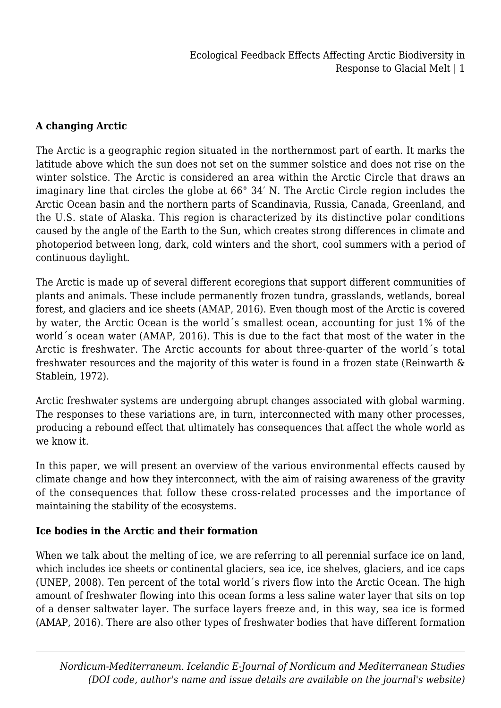## **A changing Arctic**

The Arctic is a geographic region situated in the northernmost part of earth. It marks the latitude above which the sun does not set on the summer solstice and does not rise on the winter solstice. The Arctic is considered an area within the Arctic Circle that draws an imaginary line that circles the globe at 66° 34′ N. The Arctic Circle region includes the Arctic Ocean basin and the northern parts of Scandinavia, Russia, Canada, Greenland, and the U.S. state of Alaska. This region is characterized by its distinctive polar conditions caused by the angle of the Earth to the Sun, which creates strong differences in climate and photoperiod between long, dark, cold winters and the short, cool summers with a period of continuous daylight.

The Arctic is made up of several different ecoregions that support different communities of plants and animals. These include permanently frozen tundra, grasslands, wetlands, boreal forest, and glaciers and ice sheets (AMAP, 2016). Even though most of the Arctic is covered by water, the Arctic Ocean is the world´s smallest ocean, accounting for just 1% of the world´s ocean water (AMAP, 2016). This is due to the fact that most of the water in the Arctic is freshwater. The Arctic accounts for about three-quarter of the world´s total freshwater resources and the majority of this water is found in a frozen state (Reinwarth & Stablein, 1972).

Arctic freshwater systems are undergoing abrupt changes associated with global warming. The responses to these variations are, in turn, interconnected with many other processes, producing a rebound effect that ultimately has consequences that affect the whole world as we know it.

In this paper, we will present an overview of the various environmental effects caused by climate change and how they interconnect, with the aim of raising awareness of the gravity of the consequences that follow these cross-related processes and the importance of maintaining the stability of the ecosystems.

## **Ice bodies in the Arctic and their formation**

When we talk about the melting of ice, we are referring to all perennial surface ice on land, which includes ice sheets or continental glaciers, sea ice, ice shelves, glaciers, and ice caps (UNEP, 2008). Ten percent of the total world´s rivers flow into the Arctic Ocean. The high amount of freshwater flowing into this ocean forms a less saline water layer that sits on top of a denser saltwater layer. The surface layers freeze and, in this way, sea ice is formed (AMAP, 2016). There are also other types of freshwater bodies that have different formation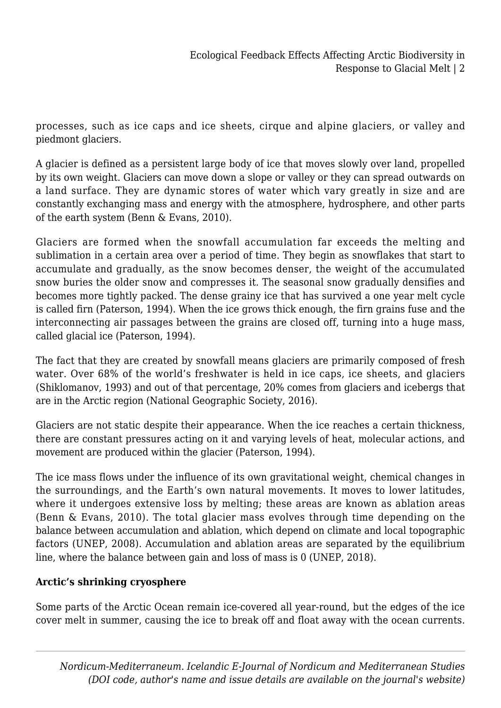processes, such as ice caps and ice sheets, cirque and alpine glaciers, or valley and piedmont glaciers.

A glacier is defined as a persistent large body of ice that moves slowly over land, propelled by its own weight. Glaciers can move down a slope or valley or they can spread outwards on a land surface. They are dynamic stores of water which vary greatly in size and are constantly exchanging mass and energy with the atmosphere, hydrosphere, and other parts of the earth system (Benn & Evans, 2010).

Glaciers are formed when the snowfall accumulation far exceeds the melting and sublimation in a certain area over a period of time. They begin as snowflakes that start to accumulate and gradually, as the snow becomes denser, the weight of the accumulated snow buries the older snow and compresses it. The seasonal snow gradually densifies and becomes more tightly packed. The dense grainy ice that has survived a one year melt cycle is called firn (Paterson, 1994). When the ice grows thick enough, the firn grains fuse and the interconnecting air passages between the grains are closed off, turning into a huge mass, called glacial ice (Paterson, 1994).

The fact that they are created by snowfall means glaciers are primarily composed of fresh water. Over 68% of the world's freshwater is held in ice caps, ice sheets, and glaciers (Shiklomanov, 1993) and out of that percentage, 20% comes from glaciers and icebergs that are in the Arctic region (National Geographic Society, 2016).

Glaciers are not static despite their appearance. When the ice reaches a certain thickness, there are constant pressures acting on it and varying levels of heat, molecular actions, and movement are produced within the glacier (Paterson, 1994).

The ice mass flows under the influence of its own gravitational weight, chemical changes in the surroundings, and the Earth's own natural movements. It moves to lower latitudes, where it undergoes extensive loss by melting; these areas are known as ablation areas (Benn & Evans, 2010). The total glacier mass evolves through time depending on the balance between accumulation and ablation, which depend on climate and local topographic factors (UNEP, 2008). Accumulation and ablation areas are separated by the equilibrium line, where the balance between gain and loss of mass is 0 (UNEP, 2018).

# **Arctic's shrinking cryosphere**

Some parts of the Arctic Ocean remain ice-covered all year-round, but the edges of the ice cover melt in summer, causing the ice to break off and float away with the ocean currents.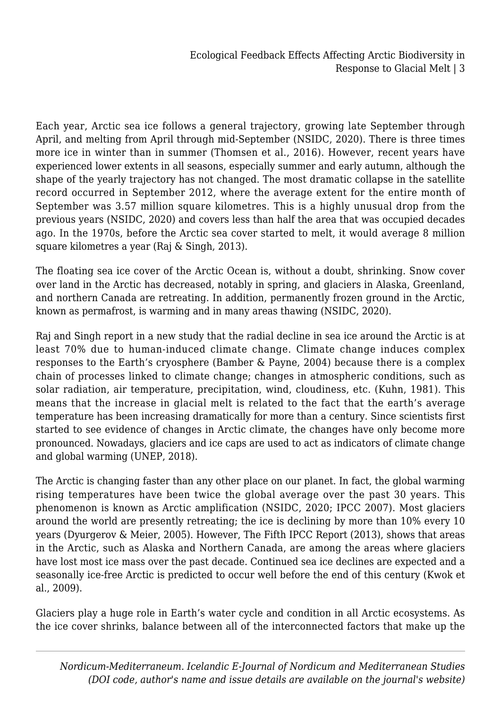Each year, Arctic sea ice follows a general trajectory, growing late September through April, and melting from April through mid-September (NSIDC, 2020). There is three times more ice in winter than in summer (Thomsen et al., 2016). However, recent years have experienced lower extents in all seasons, especially summer and early autumn, although the shape of the yearly trajectory has not changed. The most dramatic collapse in the satellite record occurred in September 2012, where the average extent for the entire month of September was 3.57 million square kilometres. This is a highly unusual drop from the previous years (NSIDC, 2020) and covers less than half the area that was occupied decades ago. In the 1970s, before the Arctic sea cover started to melt, it would average 8 million square kilometres a year (Raj & Singh, 2013).

The floating sea ice cover of the Arctic Ocean is, without a doubt, shrinking. Snow cover over land in the Arctic has decreased, notably in spring, and glaciers in Alaska, Greenland, and northern Canada are retreating. In addition, permanently frozen ground in the Arctic, known as permafrost, is warming and in many areas thawing (NSIDC, 2020).

Raj and Singh report in a new study that the radial decline in sea ice around the Arctic is at least 70% due to human-induced climate change. Climate change induces complex responses to the Earth's cryosphere (Bamber & Payne, 2004) because there is a complex chain of processes linked to climate change; changes in atmospheric conditions, such as solar radiation, air temperature, precipitation, wind, cloudiness, etc. (Kuhn, 1981). This means that the increase in glacial melt is related to the fact that the earth's average temperature has been increasing dramatically for more than a century. Since scientists first started to see evidence of changes in Arctic climate, the changes have only become more pronounced. Nowadays, glaciers and ice caps are used to act as indicators of climate change and global warming (UNEP, 2018).

The Arctic is changing faster than any other place on our planet. In fact, the global warming rising temperatures have been twice the global average over the past 30 years. This phenomenon is known as Arctic amplification (NSIDC, 2020; IPCC 2007). Most glaciers around the world are presently retreating; the ice is declining by more than 10% every 10 years (Dyurgerov & Meier, 2005). However, The Fifth IPCC Report (2013), shows that areas in the Arctic, such as Alaska and Northern Canada, are among the areas where glaciers have lost most ice mass over the past decade. Continued sea ice declines are expected and a seasonally ice-free Arctic is predicted to occur well before the end of this century (Kwok et al., 2009).

Glaciers play a huge role in Earth's water cycle and condition in all Arctic ecosystems. As the ice cover shrinks, balance between all of the interconnected factors that make up the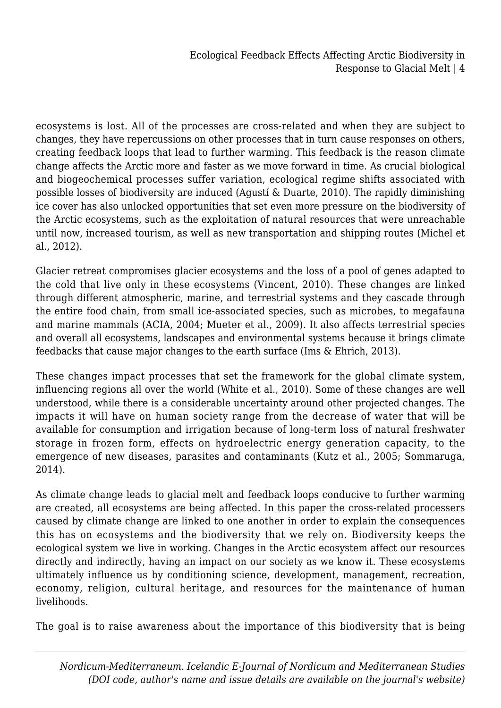ecosystems is lost. All of the processes are cross-related and when they are subject to changes, they have repercussions on other processes that in turn cause responses on others, creating feedback loops that lead to further warming. This feedback is the reason climate change affects the Arctic more and faster as we move forward in time. As crucial biological and biogeochemical processes suffer variation, ecological regime shifts associated with possible losses of biodiversity are induced (Agustí & Duarte, 2010). The rapidly diminishing ice cover has also unlocked opportunities that set even more pressure on the biodiversity of the Arctic ecosystems, such as the exploitation of natural resources that were unreachable until now, increased tourism, as well as new transportation and shipping routes (Michel et al., 2012).

Glacier retreat compromises glacier ecosystems and the loss of a pool of genes adapted to the cold that live only in these ecosystems (Vincent, 2010). These changes are linked through different atmospheric, marine, and terrestrial systems and they cascade through the entire food chain, from small ice-associated species, such as microbes, to megafauna and marine mammals (ACIA, 2004; Mueter et al., 2009). It also affects terrestrial species and overall all ecosystems, landscapes and environmental systems because it brings climate feedbacks that cause major changes to the earth surface (Ims & Ehrich, 2013).

These changes impact processes that set the framework for the global climate system, influencing regions all over the world (White et al., 2010). Some of these changes are well understood, while there is a considerable uncertainty around other projected changes. The impacts it will have on human society range from the decrease of water that will be available for consumption and irrigation because of long-term loss of natural freshwater storage in frozen form, effects on hydroelectric energy generation capacity, to the emergence of new diseases, parasites and contaminants (Kutz et al., 2005; Sommaruga, 2014).

As climate change leads to glacial melt and feedback loops conducive to further warming are created, all ecosystems are being affected. In this paper the cross-related processers caused by climate change are linked to one another in order to explain the consequences this has on ecosystems and the biodiversity that we rely on. Biodiversity keeps the ecological system we live in working. Changes in the Arctic ecosystem affect our resources directly and indirectly, having an impact on our society as we know it. These ecosystems ultimately influence us by conditioning science, development, management, recreation, economy, religion, cultural heritage, and resources for the maintenance of human livelihoods.

The goal is to raise awareness about the importance of this biodiversity that is being

*Nordicum-Mediterraneum. Icelandic E-Journal of Nordicum and Mediterranean Studies (DOI code, author's name and issue details are available on the journal's website)*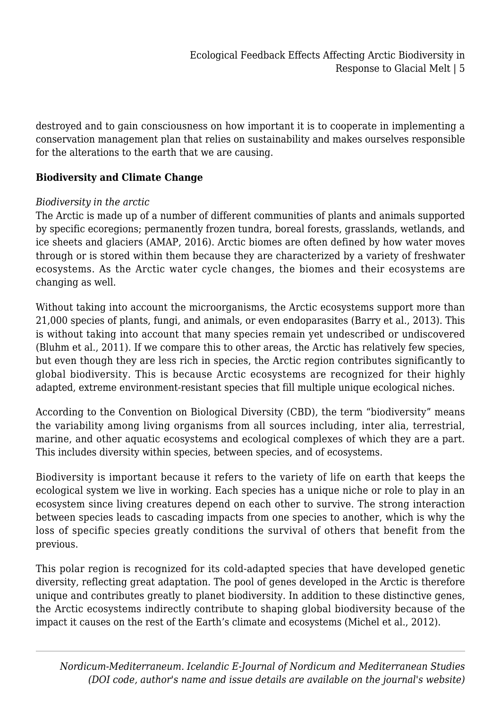destroyed and to gain consciousness on how important it is to cooperate in implementing a conservation management plan that relies on sustainability and makes ourselves responsible for the alterations to the earth that we are causing.

## **Biodiversity and Climate Change**

#### *Biodiversity in the arctic*

The Arctic is made up of a number of different communities of plants and animals supported by specific ecoregions; permanently frozen tundra, boreal forests, grasslands, wetlands, and ice sheets and glaciers (AMAP, 2016). Arctic biomes are often defined by how water moves through or is stored within them because they are characterized by a variety of freshwater ecosystems. As the Arctic water cycle changes, the biomes and their ecosystems are changing as well.

Without taking into account the microorganisms, the Arctic ecosystems support more than 21,000 species of plants, fungi, and animals, or even endoparasites (Barry et al., 2013). This is without taking into account that many species remain yet undescribed or undiscovered (Bluhm et al., 2011). If we compare this to other areas, the Arctic has relatively few species, but even though they are less rich in species, the Arctic region contributes significantly to global biodiversity. This is because Arctic ecosystems are recognized for their highly adapted, extreme environment-resistant species that fill multiple unique ecological niches.

According to the Convention on Biological Diversity (CBD), the term "biodiversity" means the variability among living organisms from all sources including, inter alia, terrestrial, marine, and other aquatic ecosystems and ecological complexes of which they are a part. This includes diversity within species, between species, and of ecosystems.

Biodiversity is important because it refers to the variety of life on earth that keeps the ecological system we live in working. Each species has a unique niche or role to play in an ecosystem since living creatures depend on each other to survive. The strong interaction between species leads to cascading impacts from one species to another, which is why the loss of specific species greatly conditions the survival of others that benefit from the previous.

This polar region is recognized for its cold-adapted species that have developed genetic diversity, reflecting great adaptation. The pool of genes developed in the Arctic is therefore unique and contributes greatly to planet biodiversity. In addition to these distinctive genes, the Arctic ecosystems indirectly contribute to shaping global biodiversity because of the impact it causes on the rest of the Earth's climate and ecosystems (Michel et al., 2012).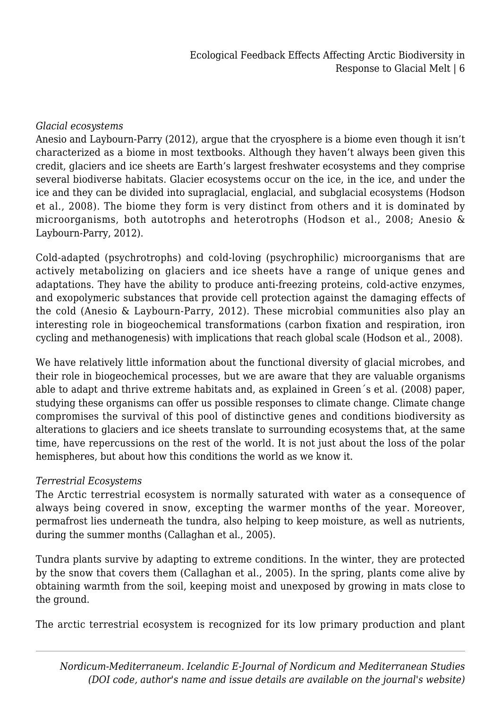## *Glacial ecosystems*

Anesio and Laybourn-Parry (2012), argue that the cryosphere is a biome even though it isn't characterized as a biome in most textbooks. Although they haven't always been given this credit, glaciers and ice sheets are Earth's largest freshwater ecosystems and they comprise several biodiverse habitats. Glacier ecosystems occur on the ice, in the ice, and under the ice and they can be divided into supraglacial, englacial, and subglacial ecosystems (Hodson et al., 2008). The biome they form is very distinct from others and it is dominated by microorganisms, both autotrophs and heterotrophs (Hodson et al., 2008; Anesio & Laybourn-Parry, 2012).

Cold-adapted (psychrotrophs) and cold-loving (psychrophilic) microorganisms that are actively metabolizing on glaciers and ice sheets have a range of unique genes and adaptations. They have the ability to produce anti-freezing proteins, cold-active enzymes, and exopolymeric substances that provide cell protection against the damaging effects of the cold (Anesio & Laybourn-Parry, 2012). These microbial communities also play an interesting role in biogeochemical transformations (carbon fixation and respiration, iron cycling and methanogenesis) with implications that reach global scale (Hodson et al., 2008).

We have relatively little information about the functional diversity of glacial microbes, and their role in biogeochemical processes, but we are aware that they are valuable organisms able to adapt and thrive extreme habitats and, as explained in Green´s et al. (2008) paper, studying these organisms can offer us possible responses to climate change. Climate change compromises the survival of this pool of distinctive genes and conditions biodiversity as alterations to glaciers and ice sheets translate to surrounding ecosystems that, at the same time, have repercussions on the rest of the world. It is not just about the loss of the polar hemispheres, but about how this conditions the world as we know it.

## *Terrestrial Ecosystems*

The Arctic terrestrial ecosystem is normally saturated with water as a consequence of always being covered in snow, excepting the warmer months of the year. Moreover, permafrost lies underneath the tundra, also helping to keep moisture, as well as nutrients, during the summer months (Callaghan et al., 2005).

Tundra plants survive by adapting to extreme conditions. In the winter, they are protected by the snow that covers them (Callaghan et al., 2005). In the spring, plants come alive by obtaining warmth from the soil, keeping moist and unexposed by growing in mats close to the ground.

The arctic terrestrial ecosystem is recognized for its low primary production and plant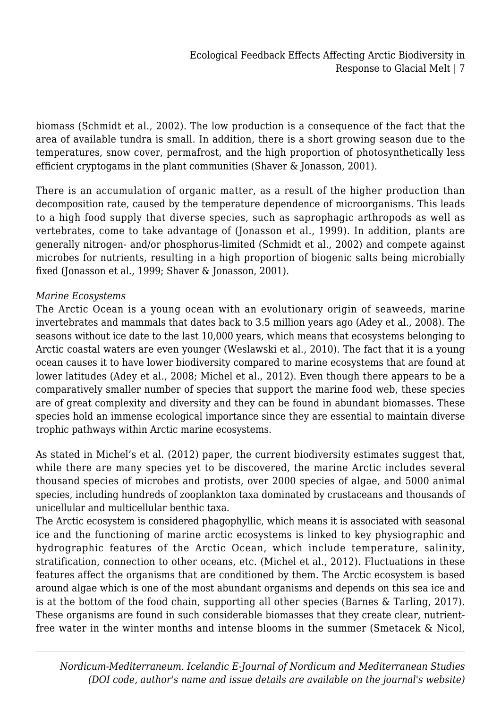biomass (Schmidt et al., 2002). The low production is a consequence of the fact that the area of available tundra is small. In addition, there is a short growing season due to the temperatures, snow cover, permafrost, and the high proportion of photosynthetically less efficient cryptogams in the plant communities (Shaver & Jonasson, 2001).

There is an accumulation of organic matter, as a result of the higher production than decomposition rate, caused by the temperature dependence of microorganisms. This leads to a high food supply that diverse species, such as saprophagic arthropods as well as vertebrates, come to take advantage of (Jonasson et al., 1999). In addition, plants are generally nitrogen- and/or phosphorus-limited (Schmidt et al., 2002) and compete against microbes for nutrients, resulting in a high proportion of biogenic salts being microbially fixed (Jonasson et al., 1999; Shaver & Jonasson, 2001).

## *Marine Ecosystems*

The Arctic Ocean is a young ocean with an evolutionary origin of seaweeds, marine invertebrates and mammals that dates back to 3.5 million years ago (Adey et al., 2008). The seasons without ice date to the last 10,000 years, which means that ecosystems belonging to Arctic coastal waters are even younger (Weslawski et al., 2010). The fact that it is a young ocean causes it to have lower biodiversity compared to marine ecosystems that are found at lower latitudes (Adey et al., 2008; Michel et al., 2012). Even though there appears to be a comparatively smaller number of species that support the marine food web, these species are of great complexity and diversity and they can be found in abundant biomasses. These species hold an immense ecological importance since they are essential to maintain diverse trophic pathways within Arctic marine ecosystems.

As stated in Michel's et al. (2012) paper, the current biodiversity estimates suggest that, while there are many species yet to be discovered, the marine Arctic includes several thousand species of microbes and protists, over 2000 species of algae, and 5000 animal species, including hundreds of zooplankton taxa dominated by crustaceans and thousands of unicellular and multicellular benthic taxa.

The Arctic ecosystem is considered phagophyllic, which means it is associated with seasonal ice and the functioning of marine arctic ecosystems is linked to key physiographic and hydrographic features of the Arctic Ocean, which include temperature, salinity, stratification, connection to other oceans, etc. (Michel et al., 2012). Fluctuations in these features affect the organisms that are conditioned by them. The Arctic ecosystem is based around algae which is one of the most abundant organisms and depends on this sea ice and is at the bottom of the food chain, supporting all other species (Barnes & Tarling, 2017). These organisms are found in such considerable biomasses that they create clear, nutrientfree water in the winter months and intense blooms in the summer (Smetacek & Nicol,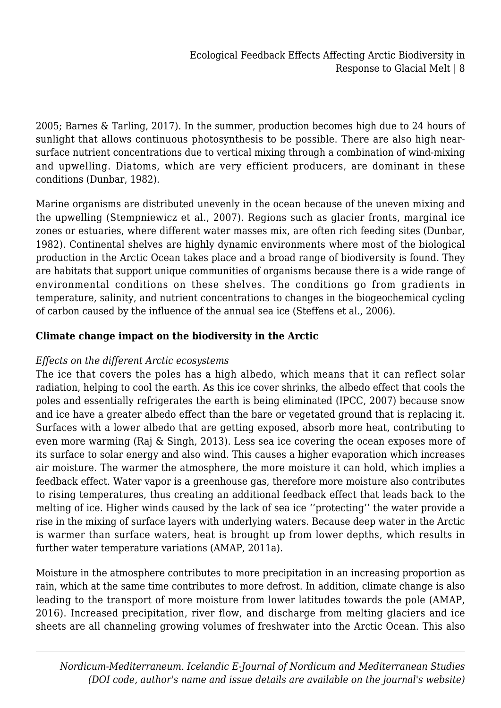2005; Barnes & Tarling, 2017). In the summer, production becomes high due to 24 hours of sunlight that allows continuous photosynthesis to be possible. There are also high nearsurface nutrient concentrations due to vertical mixing through a combination of wind-mixing and upwelling. Diatoms, which are very efficient producers, are dominant in these conditions (Dunbar, 1982).

Marine organisms are distributed unevenly in the ocean because of the uneven mixing and the upwelling (Stempniewicz et al., 2007). Regions such as glacier fronts, marginal ice zones or estuaries, where different water masses mix, are often rich feeding sites (Dunbar, 1982). Continental shelves are highly dynamic environments where most of the biological production in the Arctic Ocean takes place and a broad range of biodiversity is found. They are habitats that support unique communities of organisms because there is a wide range of environmental conditions on these shelves. The conditions go from gradients in temperature, salinity, and nutrient concentrations to changes in the biogeochemical cycling of carbon caused by the influence of the annual sea ice (Steffens et al., 2006).

# **Climate change impact on the biodiversity in the Arctic**

## *Effects on the different Arctic ecosystems*

The ice that covers the poles has a high albedo, which means that it can reflect solar radiation, helping to cool the earth. As this ice cover shrinks, the albedo effect that cools the poles and essentially refrigerates the earth is being eliminated (IPCC, 2007) because snow and ice have a greater albedo effect than the bare or vegetated ground that is replacing it. Surfaces with a lower albedo that are getting exposed, absorb more heat, contributing to even more warming (Raj & Singh, 2013). Less sea ice covering the ocean exposes more of its surface to solar energy and also wind. This causes a higher evaporation which increases air moisture. The warmer the atmosphere, the more moisture it can hold, which implies a feedback effect. Water vapor is a greenhouse gas, therefore more moisture also contributes to rising temperatures, thus creating an additional feedback effect that leads back to the melting of ice. Higher winds caused by the lack of sea ice ''protecting'' the water provide a rise in the mixing of surface layers with underlying waters. Because deep water in the Arctic is warmer than surface waters, heat is brought up from lower depths, which results in further water temperature variations (AMAP, 2011a).

Moisture in the atmosphere contributes to more precipitation in an increasing proportion as rain, which at the same time contributes to more defrost. In addition, climate change is also leading to the transport of more moisture from lower latitudes towards the pole (AMAP, 2016). Increased precipitation, river flow, and discharge from melting glaciers and ice sheets are all channeling growing volumes of freshwater into the Arctic Ocean. This also

*Nordicum-Mediterraneum. Icelandic E-Journal of Nordicum and Mediterranean Studies (DOI code, author's name and issue details are available on the journal's website)*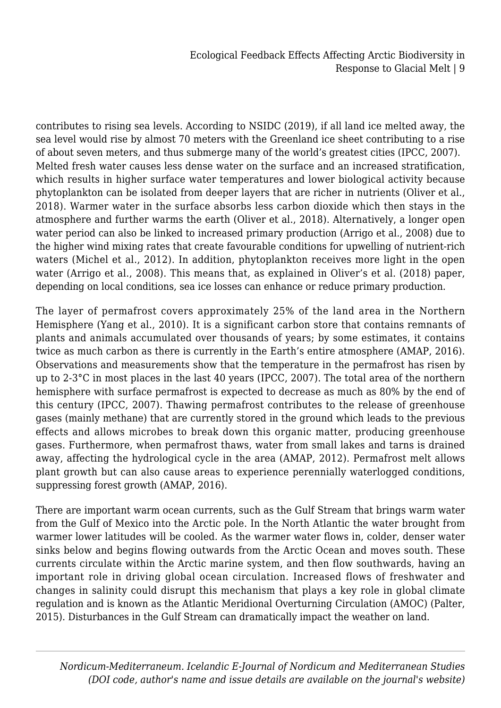contributes to rising sea levels. According to NSIDC (2019), if all land ice melted away, the sea level would rise by almost 70 meters with the Greenland ice sheet contributing to a rise of about seven meters, and thus submerge many of the world's greatest cities (IPCC, 2007). Melted fresh water causes less dense water on the surface and an increased stratification, which results in higher surface water temperatures and lower biological activity because phytoplankton can be isolated from deeper layers that are richer in nutrients (Oliver et al., 2018). Warmer water in the surface absorbs less carbon dioxide which then stays in the atmosphere and further warms the earth (Oliver et al., 2018). Alternatively, a longer open water period can also be linked to increased primary production (Arrigo et al., 2008) due to the higher wind mixing rates that create favourable conditions for upwelling of nutrient-rich waters (Michel et al., 2012). In addition, phytoplankton receives more light in the open water (Arrigo et al., 2008). This means that, as explained in Oliver's et al. (2018) paper, depending on local conditions, sea ice losses can enhance or reduce primary production.

The layer of permafrost covers approximately 25% of the land area in the Northern Hemisphere (Yang et al., 2010). It is a significant carbon store that contains remnants of plants and animals accumulated over thousands of years; by some estimates, it contains twice as much carbon as there is currently in the Earth's entire atmosphere (AMAP, 2016). Observations and measurements show that the temperature in the permafrost has risen by up to 2-3°C in most places in the last 40 years (IPCC, 2007). The total area of the northern hemisphere with surface permafrost is expected to decrease as much as 80% by the end of this century (IPCC, 2007). Thawing permafrost contributes to the release of greenhouse gases (mainly methane) that are currently stored in the ground which leads to the previous effects and allows microbes to break down this organic matter, producing greenhouse gases. Furthermore, when permafrost thaws, water from small lakes and tarns is drained away, affecting the hydrological cycle in the area (AMAP, 2012). Permafrost melt allows plant growth but can also cause areas to experience perennially waterlogged conditions, suppressing forest growth (AMAP, 2016).

There are important warm ocean currents, such as the Gulf Stream that brings warm water from the Gulf of Mexico into the Arctic pole. In the North Atlantic the water brought from warmer lower latitudes will be cooled. As the warmer water flows in, colder, denser water sinks below and begins flowing outwards from the Arctic Ocean and moves south. These currents circulate within the Arctic marine system, and then flow southwards, having an important role in driving global ocean circulation. Increased flows of freshwater and changes in salinity could disrupt this mechanism that plays a key role in global climate regulation and is known as the Atlantic Meridional Overturning Circulation (AMOC) (Palter, 2015). Disturbances in the Gulf Stream can dramatically impact the weather on land.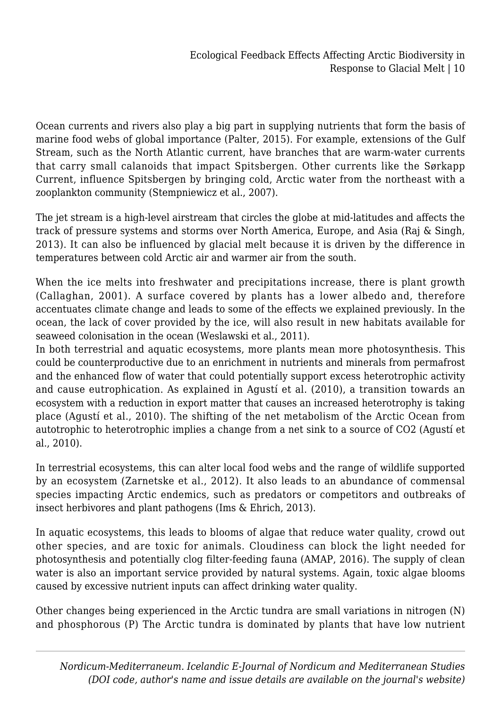Ocean currents and rivers also play a big part in supplying nutrients that form the basis of marine food webs of global importance (Palter, 2015). For example, extensions of the Gulf Stream, such as the North Atlantic current, have branches that are warm-water currents that carry small calanoids that impact Spitsbergen. Other currents like the Sørkapp Current, influence Spitsbergen by bringing cold, Arctic water from the northeast with a zooplankton community (Stempniewicz et al., 2007).

The jet stream is a high-level airstream that circles the globe at mid-latitudes and affects the track of pressure systems and storms over North America, Europe, and Asia (Raj & Singh, 2013). It can also be influenced by glacial melt because it is driven by the difference in temperatures between cold Arctic air and warmer air from the south.

When the ice melts into freshwater and precipitations increase, there is plant growth (Callaghan, 2001). A surface covered by plants has a lower albedo and, therefore accentuates climate change and leads to some of the effects we explained previously. In the ocean, the lack of cover provided by the ice, will also result in new habitats available for seaweed colonisation in the ocean (Weslawski et al., 2011).

In both terrestrial and aquatic ecosystems, more plants mean more photosynthesis. This could be counterproductive due to an enrichment in nutrients and minerals from permafrost and the enhanced flow of water that could potentially support excess heterotrophic activity and cause eutrophication. As explained in Agustí et al. (2010), a transition towards an ecosystem with a reduction in export matter that causes an increased heterotrophy is taking place (Agustí et al., 2010). The shifting of the net metabolism of the Arctic Ocean from autotrophic to heterotrophic implies a change from a net sink to a source of CO2 (Agustí et al., 2010).

In terrestrial ecosystems, this can alter local food webs and the range of wildlife supported by an ecosystem (Zarnetske et al., 2012). It also leads to an abundance of commensal species impacting Arctic endemics, such as predators or competitors and outbreaks of insect herbivores and plant pathogens (Ims & Ehrich, 2013).

In aquatic ecosystems, this leads to blooms of algae that reduce water quality, crowd out other species, and are toxic for animals. Cloudiness can block the light needed for photosynthesis and potentially clog filter-feeding fauna (AMAP, 2016). The supply of clean water is also an important service provided by natural systems. Again, toxic algae blooms caused by excessive nutrient inputs can affect drinking water quality.

Other changes being experienced in the Arctic tundra are small variations in nitrogen (N) and phosphorous (P) The Arctic tundra is dominated by plants that have low nutrient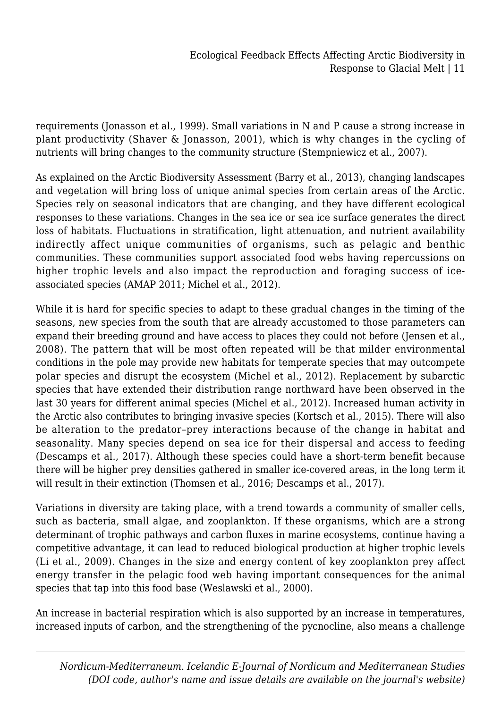requirements (Jonasson et al., 1999). Small variations in N and P cause a strong increase in plant productivity (Shaver & Jonasson, 2001), which is why changes in the cycling of nutrients will bring changes to the community structure (Stempniewicz et al., 2007).

As explained on the Arctic Biodiversity Assessment (Barry et al., 2013), changing landscapes and vegetation will bring loss of unique animal species from certain areas of the Arctic. Species rely on seasonal indicators that are changing, and they have different ecological responses to these variations. Changes in the sea ice or sea ice surface generates the direct loss of habitats. Fluctuations in stratification, light attenuation, and nutrient availability indirectly affect unique communities of organisms, such as pelagic and benthic communities. These communities support associated food webs having repercussions on higher trophic levels and also impact the reproduction and foraging success of iceassociated species (AMAP 2011; Michel et al., 2012).

While it is hard for specific species to adapt to these gradual changes in the timing of the seasons, new species from the south that are already accustomed to those parameters can expand their breeding ground and have access to places they could not before (Jensen et al., 2008). The pattern that will be most often repeated will be that milder environmental conditions in the pole may provide new habitats for temperate species that may outcompete polar species and disrupt the ecosystem (Michel et al., 2012). Replacement by subarctic species that have extended their distribution range northward have been observed in the last 30 years for different animal species (Michel et al., 2012). Increased human activity in the Arctic also contributes to bringing invasive species (Kortsch et al., 2015). There will also be alteration to the predator–prey interactions because of the change in habitat and seasonality. Many species depend on sea ice for their dispersal and access to feeding (Descamps et al., 2017). Although these species could have a short-term benefit because there will be higher prey densities gathered in smaller ice-covered areas, in the long term it will result in their extinction (Thomsen et al., 2016; Descamps et al., 2017).

Variations in diversity are taking place, with a trend towards a community of smaller cells, such as bacteria, small algae, and zooplankton. If these organisms, which are a strong determinant of trophic pathways and carbon fluxes in marine ecosystems, continue having a competitive advantage, it can lead to reduced biological production at higher trophic levels (Li et al., 2009). Changes in the size and energy content of key zooplankton prey affect energy transfer in the pelagic food web having important consequences for the animal species that tap into this food base (Weslawski et al., 2000).

An increase in bacterial respiration which is also supported by an increase in temperatures, increased inputs of carbon, and the strengthening of the pycnocline, also means a challenge

*Nordicum-Mediterraneum. Icelandic E-Journal of Nordicum and Mediterranean Studies (DOI code, author's name and issue details are available on the journal's website)*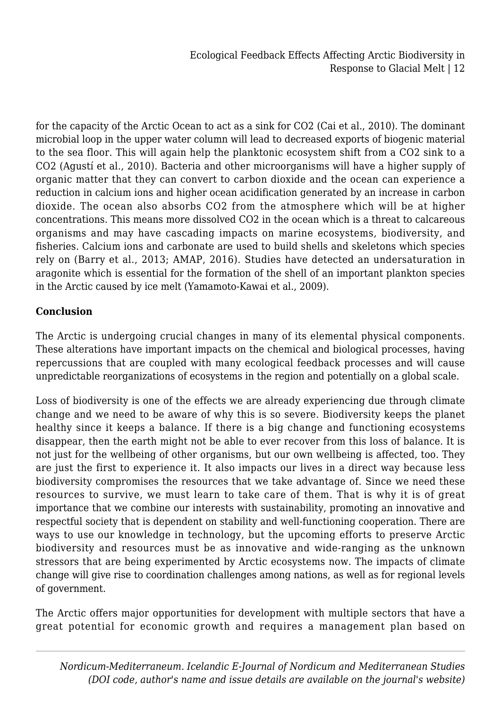for the capacity of the Arctic Ocean to act as a sink for CO2 (Cai et al., 2010). The dominant microbial loop in the upper water column will lead to decreased exports of biogenic material to the sea floor. This will again help the planktonic ecosystem shift from a CO2 sink to a CO2 (Agustí et al., 2010). Bacteria and other microorganisms will have a higher supply of organic matter that they can convert to carbon dioxide and the ocean can experience a reduction in calcium ions and higher ocean acidification generated by an increase in carbon dioxide. The ocean also absorbs CO2 from the atmosphere which will be at higher concentrations. This means more dissolved CO2 in the ocean which is a threat to calcareous organisms and may have cascading impacts on marine ecosystems, biodiversity, and fisheries. Calcium ions and carbonate are used to build shells and skeletons which species rely on (Barry et al., 2013; AMAP, 2016). Studies have detected an undersaturation in aragonite which is essential for the formation of the shell of an important plankton species in the Arctic caused by ice melt (Yamamoto-Kawai et al., 2009).

# **Conclusion**

The Arctic is undergoing crucial changes in many of its elemental physical components. These alterations have important impacts on the chemical and biological processes, having repercussions that are coupled with many ecological feedback processes and will cause unpredictable reorganizations of ecosystems in the region and potentially on a global scale.

Loss of biodiversity is one of the effects we are already experiencing due through climate change and we need to be aware of why this is so severe. Biodiversity keeps the planet healthy since it keeps a balance. If there is a big change and functioning ecosystems disappear, then the earth might not be able to ever recover from this loss of balance. It is not just for the wellbeing of other organisms, but our own wellbeing is affected, too. They are just the first to experience it. It also impacts our lives in a direct way because less biodiversity compromises the resources that we take advantage of. Since we need these resources to survive, we must learn to take care of them. That is why it is of great importance that we combine our interests with sustainability, promoting an innovative and respectful society that is dependent on stability and well-functioning cooperation. There are ways to use our knowledge in technology, but the upcoming efforts to preserve Arctic biodiversity and resources must be as innovative and wide-ranging as the unknown stressors that are being experimented by Arctic ecosystems now. The impacts of climate change will give rise to coordination challenges among nations, as well as for regional levels of government.

The Arctic offers major opportunities for development with multiple sectors that have a great potential for economic growth and requires a management plan based on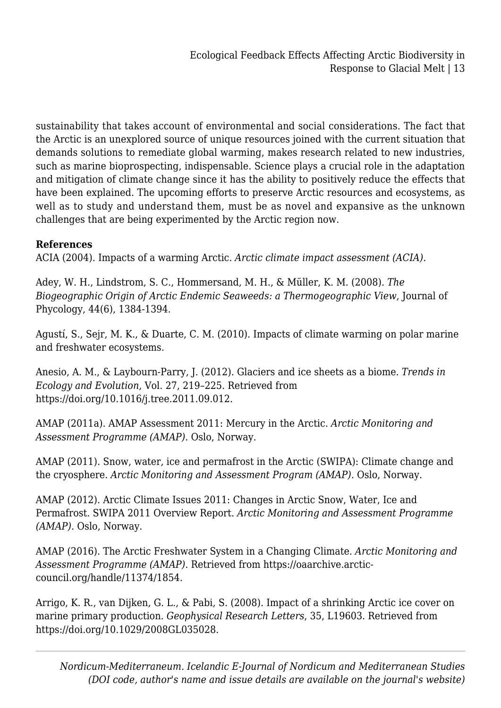sustainability that takes account of environmental and social considerations. The fact that the Arctic is an unexplored source of unique resources joined with the current situation that demands solutions to remediate global warming, makes research related to new industries, such as marine bioprospecting, indispensable. Science plays a crucial role in the adaptation and mitigation of climate change since it has the ability to positively reduce the effects that have been explained. The upcoming efforts to preserve Arctic resources and ecosystems, as well as to study and understand them, must be as novel and expansive as the unknown challenges that are being experimented by the Arctic region now.

## **References**

ACIA (2004). Impacts of a warming Arctic. *Arctic climate impact assessment (ACIA)*.

Adey, W. H., Lindstrom, S. C., Hommersand, M. H., & Müller, K. M. (2008). *The Biogeographic Origin of Arctic Endemic Seaweeds: a Thermogeographic View*, Journal of Phycology, 44(6), 1384-1394.

Agustí, S., Sejr, M. K., & Duarte, C. M. (2010). Impacts of climate warming on polar marine and freshwater ecosystems.

Anesio, A. M., & Laybourn-Parry, J. (2012). Glaciers and ice sheets as a biome. *Trends in Ecology and Evolution*, Vol. 27, 219–225. Retrieved from https://doi.org/10.1016/j.tree.2011.09.012.

AMAP (2011a). AMAP Assessment 2011: Mercury in the Arctic. *Arctic Monitoring and Assessment Programme (AMAP)*. Oslo, Norway.

AMAP (2011). Snow, water, ice and permafrost in the Arctic (SWIPA): Climate change and the cryosphere. *Arctic Monitoring and Assessment Program (AMAP)*. Oslo, Norway.

AMAP (2012). Arctic Climate Issues 2011: Changes in Arctic Snow, Water, Ice and Permafrost. SWIPA 2011 Overview Report. *Arctic Monitoring and Assessment Programme (AMAP)*. Oslo, Norway.

AMAP (2016). The Arctic Freshwater System in a Changing Climate. *Arctic Monitoring and Assessment Programme (AMAP)*. Retrieved from https://oaarchive.arcticcouncil.org/handle/11374/1854.

Arrigo, K. R., van Dijken, G. L., & Pabi, S. (2008). Impact of a shrinking Arctic ice cover on marine primary production*. Geophysical Research Letters*, 35, L19603. Retrieved from https://doi.org/10.1029/2008GL035028.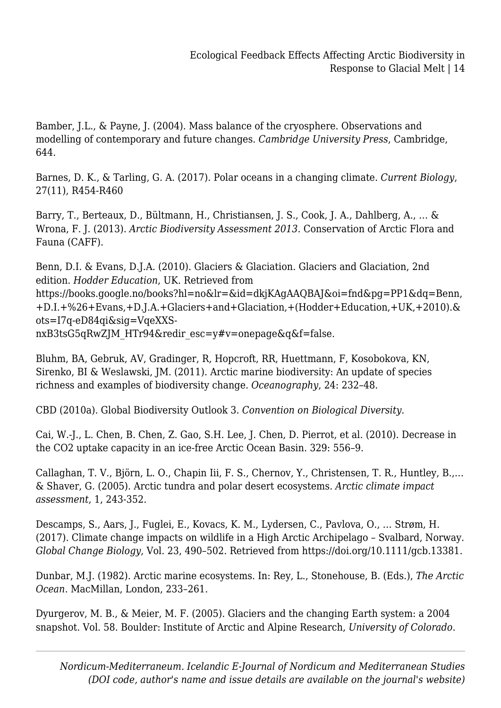Bamber, J.L., & Payne, J. (2004). Mass balance of the cryosphere. Observations and modelling of contemporary and future changes. *Cambridge University Press*, Cambridge, 644.

Barnes, D. K., & Tarling, G. A. (2017). Polar oceans in a changing climate. *Current Biology*, 27(11), R454-R460

Barry, T., Berteaux, D., Bültmann, H., Christiansen, J. S., Cook, J. A., Dahlberg, A., … & Wrona, F. J. (2013). *Arctic Biodiversity Assessment 2013.* Conservation of Arctic Flora and Fauna (CAFF).

Benn, D.I. & Evans, D.J.A. (2010). Glaciers & Glaciation. Glaciers and Glaciation, 2nd edition. *Hodder Education*, UK. Retrieved from https://books.google.no/books?hl=no&lr=&id=dkjKAgAAQBAJ&oi=fnd&pg=PP1&dq=Benn, +D.I.+%26+Evans,+D.J.A.+Glaciers+and+Glaciation,+(Hodder+Education,+UK,+2010).& ots=I7q-eD84qi&sig=VqeXXSnxB3tsG5qRwZJM\_HTr94&redir\_esc=y#v=onepage&q&f=false.

Bluhm, BA, Gebruk, AV, Gradinger, R, Hopcroft, RR, Huettmann, F, Kosobokova, KN, Sirenko, BI & Weslawski, JM. (2011). Arctic marine biodiversity: An update of species richness and examples of biodiversity change. *Oceanography*, 24: 232–48.

CBD (2010a). Global Biodiversity Outlook 3. *Convention on Biological Diversity.*

Cai, W.-J., L. Chen, B. Chen, Z. Gao, S.H. Lee, J. Chen, D. Pierrot, et al. (2010). Decrease in the CO2 uptake capacity in an ice-free Arctic Ocean Basin. 329: 556–9.

Callaghan, T. V., Björn, L. O., Chapin Iii, F. S., Chernov, Y., Christensen, T. R., Huntley, B.,… & Shaver, G. (2005). Arctic tundra and polar desert ecosystems. *Arctic climate impact assessment*, 1, 243-352.

Descamps, S., Aars, J., Fuglei, E., Kovacs, K. M., Lydersen, C., Pavlova, O., … Strøm, H. (2017). Climate change impacts on wildlife in a High Arctic Archipelago – Svalbard, Norway. *Global Change Biology*, Vol. 23, 490–502. Retrieved from https://doi.org/10.1111/gcb.13381.

Dunbar, M.J. (1982). Arctic marine ecosystems. In: Rey, L., Stonehouse, B. (Eds.), *The Arctic Ocean*. MacMillan, London, 233–261.

Dyurgerov, M. B., & Meier, M. F. (2005). Glaciers and the changing Earth system: a 2004 snapshot. Vol. 58. Boulder: Institute of Arctic and Alpine Research, *University of Colorado*.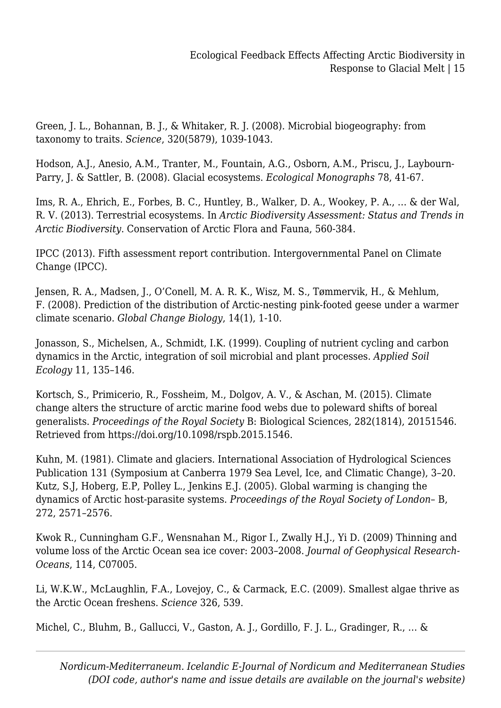Green, J. L., Bohannan, B. J., & Whitaker, R. J. (2008). Microbial biogeography: from taxonomy to traits. *Science*, 320(5879), 1039-1043.

Hodson, A.J., Anesio, A.M., Tranter, M., Fountain, A.G., Osborn, A.M., Priscu, J., Laybourn-Parry, J. & Sattler, B. (2008). Glacial ecosystems. *Ecological Monographs* 78, 41-67.

Ims, R. A., Ehrich, E., Forbes, B. C., Huntley, B., Walker, D. A., Wookey, P. A., … & der Wal, R. V. (2013). Terrestrial ecosystems. In *Arctic Biodiversity Assessment: Status and Trends in Arctic Biodiversity*. Conservation of Arctic Flora and Fauna, 560-384.

IPCC (2013). Fifth assessment report contribution. Intergovernmental Panel on Climate Change (IPCC).

Jensen, R. A., Madsen, J., O'Conell, M. A. R. K., Wisz, M. S., Tømmervik, H., & Mehlum, F. (2008). Prediction of the distribution of Arctic-nesting pink-footed geese under a warmer climate scenario. *Global Change Biology*, 14(1), 1-10.

Jonasson, S., Michelsen, A., Schmidt, I.K. (1999). Coupling of nutrient cycling and carbon dynamics in the Arctic, integration of soil microbial and plant processes. *Applied Soil Ecology* 11, 135–146.

Kortsch, S., Primicerio, R., Fossheim, M., Dolgov, A. V., & Aschan, M. (2015). Climate change alters the structure of arctic marine food webs due to poleward shifts of boreal generalists. *Proceedings of the Royal Society* B: Biological Sciences, 282(1814), 20151546. Retrieved from https://doi.org/10.1098/rspb.2015.1546.

Kuhn, M. (1981). Climate and glaciers. International Association of Hydrological Sciences Publication 131 (Symposium at Canberra 1979 Sea Level, Ice, and Climatic Change), 3–20. Kutz, S.J, Hoberg, E.P, Polley L., Jenkins E.J. (2005). Global warming is changing the dynamics of Arctic host-parasite systems. *Proceedings of the Royal Society of London*– B, 272, 2571–2576.

Kwok R., Cunningham G.F., Wensnahan M., Rigor I., Zwally H.J., Yi D. (2009) Thinning and volume loss of the Arctic Ocean sea ice cover: 2003–2008. *Journal of Geophysical Research-Oceans*, 114, C07005.

Li, W.K.W., McLaughlin, F.A., Lovejoy, C., & Carmack, E.C. (2009). Smallest algae thrive as the Arctic Ocean freshens. *Science* 326, 539.

Michel, C., Bluhm, B., Gallucci, V., Gaston, A. J., Gordillo, F. J. L., Gradinger, R., … &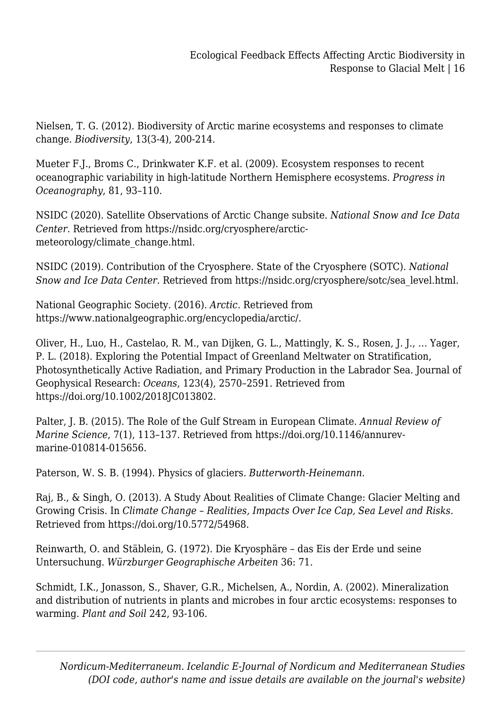Nielsen, T. G. (2012). Biodiversity of Arctic marine ecosystems and responses to climate change. *Biodiversity*, 13(3-4), 200-214.

Mueter F.J., Broms C., Drinkwater K.F. et al. (2009). Ecosystem responses to recent oceanographic variability in high-latitude Northern Hemisphere ecosystems. *Progress in Oceanography*, 81, 93–110.

NSIDC (2020). Satellite Observations of Arctic Change subsite. *National Snow and Ice Data Center*. Retrieved from https://nsidc.org/cryosphere/arcticmeteorology/climate\_change.html.

NSIDC (2019). Contribution of the Cryosphere. State of the Cryosphere (SOTC). *National Snow and Ice Data Center*. Retrieved from https://nsidc.org/cryosphere/sotc/sea\_level.html.

National Geographic Society. (2016). *Arctic*. Retrieved from https://www.nationalgeographic.org/encyclopedia/arctic/.

Oliver, H., Luo, H., Castelao, R. M., van Dijken, G. L., Mattingly, K. S., Rosen, J. J., … Yager, P. L. (2018). Exploring the Potential Impact of Greenland Meltwater on Stratification, Photosynthetically Active Radiation, and Primary Production in the Labrador Sea. Journal of Geophysical Research: *Oceans*, 123(4), 2570–2591. Retrieved from https://doi.org/10.1002/2018JC013802.

Palter, J. B. (2015). The Role of the Gulf Stream in European Climate. *Annual Review of Marine Science*, 7(1), 113–137. Retrieved from https://doi.org/10.1146/annurevmarine-010814-015656.

Paterson, W. S. B. (1994). Physics of glaciers. *Butterworth-Heinemann*.

Raj, B., & Singh, O. (2013). A Study About Realities of Climate Change: Glacier Melting and Growing Crisis. In *Climate Change – Realities, Impacts Over Ice Cap, Sea Level and Risks.* Retrieved from https://doi.org/10.5772/54968.

Reinwarth, O. and Stäblein, G. (1972). Die Kryosphäre – das Eis der Erde und seine Untersuchung. *Würzburger Geographische Arbeiten* 36: 71.

Schmidt, I.K., Jonasson, S., Shaver, G.R., Michelsen, A., Nordin, A. (2002). Mineralization and distribution of nutrients in plants and microbes in four arctic ecosystems: responses to warming. *Plant and Soil* 242, 93-106.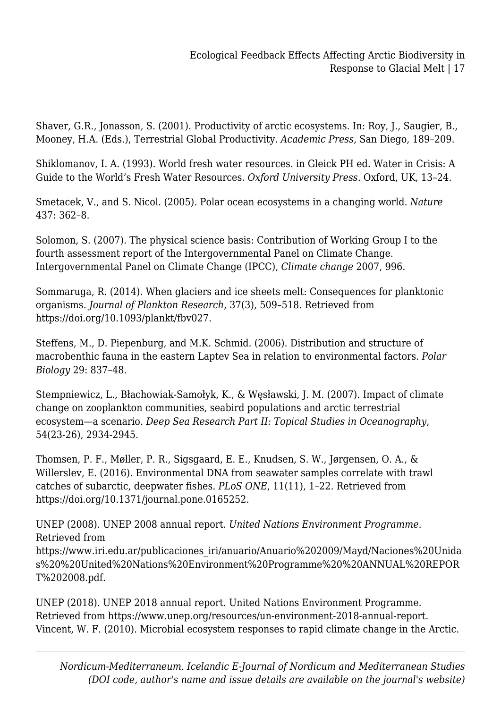Shaver, G.R., Jonasson, S. (2001). Productivity of arctic ecosystems. In: Roy, J., Saugier, B., Mooney, H.A. (Eds.), Terrestrial Global Productivity. *Academic Press*, San Diego, 189–209.

Shiklomanov, I. A. (1993). World fresh water resources. in Gleick PH ed. Water in Crisis: A Guide to the World's Fresh Water Resources. *Oxford University Press*. Oxford, UK, 13–24.

Smetacek, V., and S. Nicol. (2005). Polar ocean ecosystems in a changing world. *Nature* 437: 362–8.

Solomon, S. (2007). The physical science basis: Contribution of Working Group I to the fourth assessment report of the Intergovernmental Panel on Climate Change. Intergovernmental Panel on Climate Change (IPCC), *Climate change* 2007, 996.

Sommaruga, R. (2014). When glaciers and ice sheets melt: Consequences for planktonic organisms. *Journal of Plankton Research*, 37(3), 509–518. Retrieved from https://doi.org/10.1093/plankt/fbv027.

Steffens, M., D. Piepenburg, and M.K. Schmid. (2006). Distribution and structure of macrobenthic fauna in the eastern Laptev Sea in relation to environmental factors. *Polar Biology* 29: 837–48.

Stempniewicz, L., Błachowiak-Samołyk, K., & Węsławski, J. M. (2007). Impact of climate change on zooplankton communities, seabird populations and arctic terrestrial ecosystem—a scenario. *Deep Sea Research Part II: Topical Studies in Oceanography*, 54(23-26), 2934-2945.

Thomsen, P. F., Møller, P. R., Sigsgaard, E. E., Knudsen, S. W., Jørgensen, O. A., & Willerslev, E. (2016). Environmental DNA from seawater samples correlate with trawl catches of subarctic, deepwater fishes. *PLoS ONE*, 11(11), 1–22. Retrieved from https://doi.org/10.1371/journal.pone.0165252.

UNEP (2008). UNEP 2008 annual report. *United Nations Environment Programme*. Retrieved from

https://www.iri.edu.ar/publicaciones\_iri/anuario/Anuario%202009/Mayd/Naciones%20Unida s%20%20United%20Nations%20Environment%20Programme%20%20ANNUAL%20REPOR T%202008.pdf.

UNEP (2018). UNEP 2018 annual report. United Nations Environment Programme. Retrieved from https://www.unep.org/resources/un-environment-2018-annual-report. Vincent, W. F. (2010). Microbial ecosystem responses to rapid climate change in the Arctic.